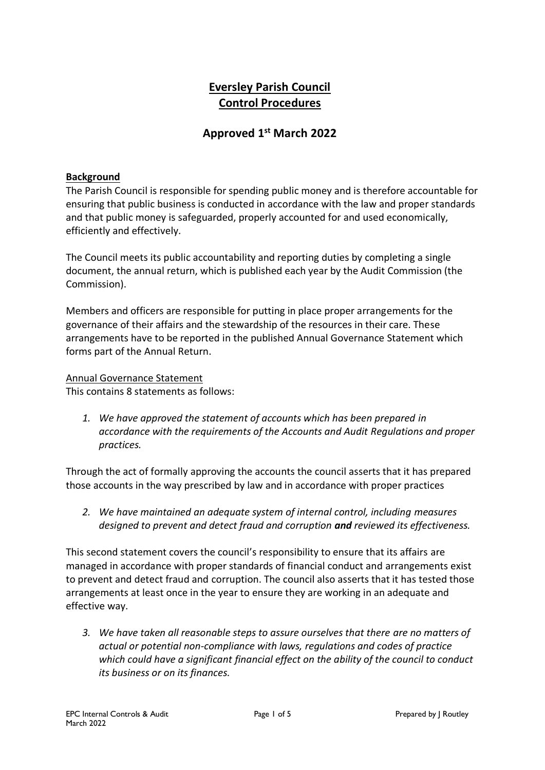# **Eversley Parish Council Control Procedures**

## **Approved 1 st March 2022**

## **Background**

The Parish Council is responsible for spending public money and is therefore accountable for ensuring that public business is conducted in accordance with the law and proper standards and that public money is safeguarded, properly accounted for and used economically, efficiently and effectively.

The Council meets its public accountability and reporting duties by completing a single document, the annual return, which is published each year by the Audit Commission (the Commission).

Members and officers are responsible for putting in place proper arrangements for the governance of their affairs and the stewardship of the resources in their care. These arrangements have to be reported in the published Annual Governance Statement which forms part of the Annual Return.

Annual Governance Statement

This contains 8 statements as follows:

*1. We have approved the statement of accounts which has been prepared in accordance with the requirements of the Accounts and Audit Regulations and proper practices.*

Through the act of formally approving the accounts the council asserts that it has prepared those accounts in the way prescribed by law and in accordance with proper practices

*2. We have maintained an adequate system of internal control, including measures designed to prevent and detect fraud and corruption and reviewed its effectiveness.*

This second statement covers the council's responsibility to ensure that its affairs are managed in accordance with proper standards of financial conduct and arrangements exist to prevent and detect fraud and corruption. The council also asserts that it has tested those arrangements at least once in the year to ensure they are working in an adequate and effective way.

*3. We have taken all reasonable steps to assure ourselves that there are no matters of actual or potential non-compliance with laws, regulations and codes of practice which could have a significant financial effect on the ability of the council to conduct its business or on its finances.*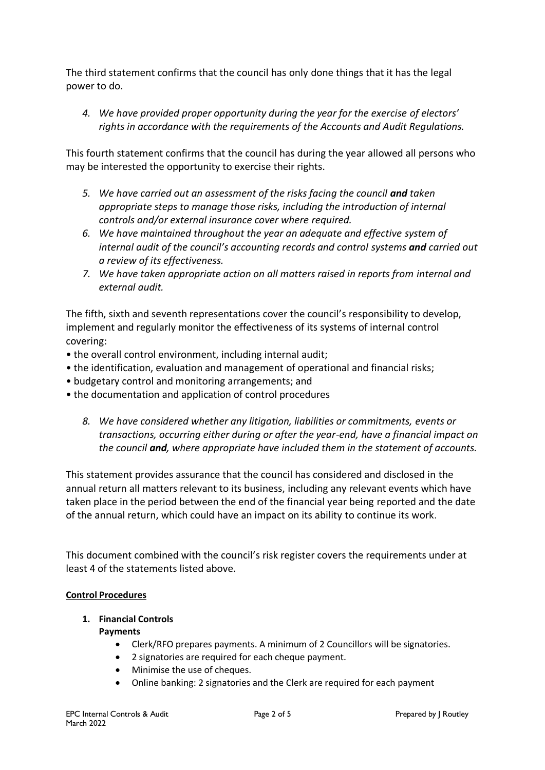The third statement confirms that the council has only done things that it has the legal power to do.

*4. We have provided proper opportunity during the year for the exercise of electors' rights in accordance with the requirements of the Accounts and Audit Regulations.*

This fourth statement confirms that the council has during the year allowed all persons who may be interested the opportunity to exercise their rights.

- *5. We have carried out an assessment of the risks facing the council and taken appropriate steps to manage those risks, including the introduction of internal controls and/or external insurance cover where required.*
- *6. We have maintained throughout the year an adequate and effective system of internal audit of the council's accounting records and control systems and carried out a review of its effectiveness.*
- *7. We have taken appropriate action on all matters raised in reports from internal and external audit.*

The fifth, sixth and seventh representations cover the council's responsibility to develop, implement and regularly monitor the effectiveness of its systems of internal control covering:

- the overall control environment, including internal audit;
- the identification, evaluation and management of operational and financial risks;
- budgetary control and monitoring arrangements; and
- the documentation and application of control procedures
	- *8. We have considered whether any litigation, liabilities or commitments, events or transactions, occurring either during or after the year-end, have a financial impact on the council and, where appropriate have included them in the statement of accounts.*

This statement provides assurance that the council has considered and disclosed in the annual return all matters relevant to its business, including any relevant events which have taken place in the period between the end of the financial year being reported and the date of the annual return, which could have an impact on its ability to continue its work.

This document combined with the council's risk register covers the requirements under at least 4 of the statements listed above.

## **Control Procedures**

## **1. Financial Controls**

#### **Payments**

- Clerk/RFO prepares payments. A minimum of 2 Councillors will be signatories.
- 2 signatories are required for each cheque payment.
- Minimise the use of cheques.
- Online banking: 2 signatories and the Clerk are required for each payment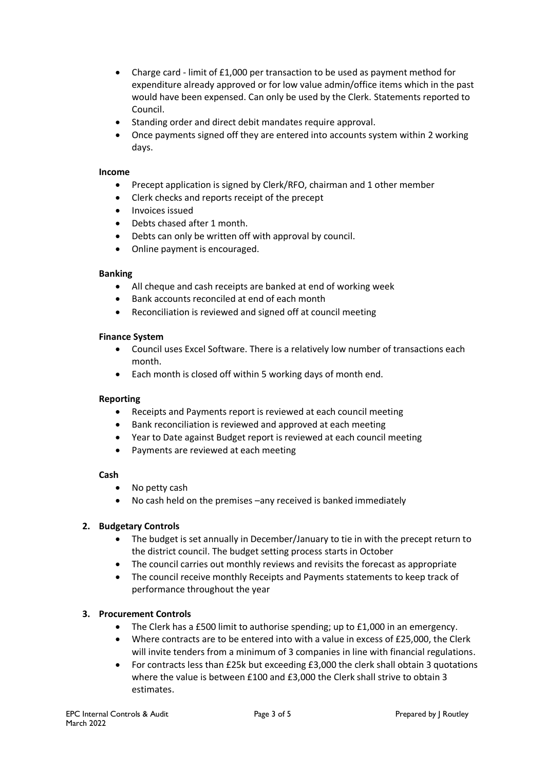- Charge card limit of £1,000 per transaction to be used as payment method for expenditure already approved or for low value admin/office items which in the past would have been expensed. Can only be used by the Clerk. Statements reported to Council.
- Standing order and direct debit mandates require approval.
- Once payments signed off they are entered into accounts system within 2 working days.

#### **Income**

- Precept application is signed by Clerk/RFO, chairman and 1 other member
- Clerk checks and reports receipt of the precept
- Invoices issued
- Debts chased after 1 month.
- Debts can only be written off with approval by council.
- Online payment is encouraged.

#### **Banking**

- All cheque and cash receipts are banked at end of working week
- Bank accounts reconciled at end of each month
- Reconciliation is reviewed and signed off at council meeting

#### **Finance System**

- Council uses Excel Software. There is a relatively low number of transactions each month.
- Each month is closed off within 5 working days of month end.

#### **Reporting**

- Receipts and Payments report is reviewed at each council meeting
- Bank reconciliation is reviewed and approved at each meeting
- Year to Date against Budget report is reviewed at each council meeting
- Payments are reviewed at each meeting

#### **Cash**

- No petty cash
- No cash held on the premises –any received is banked immediately

#### **2. Budgetary Controls**

- The budget is set annually in December/January to tie in with the precept return to the district council. The budget setting process starts in October
- The council carries out monthly reviews and revisits the forecast as appropriate
- The council receive monthly Receipts and Payments statements to keep track of performance throughout the year

#### **3. Procurement Controls**

- The Clerk has a £500 limit to authorise spending; up to £1,000 in an emergency.
- Where contracts are to be entered into with a value in excess of £25,000, the Clerk will invite tenders from a minimum of 3 companies in line with financial regulations.
- For contracts less than £25k but exceeding £3,000 the clerk shall obtain 3 quotations where the value is between £100 and £3,000 the Clerk shall strive to obtain 3 estimates.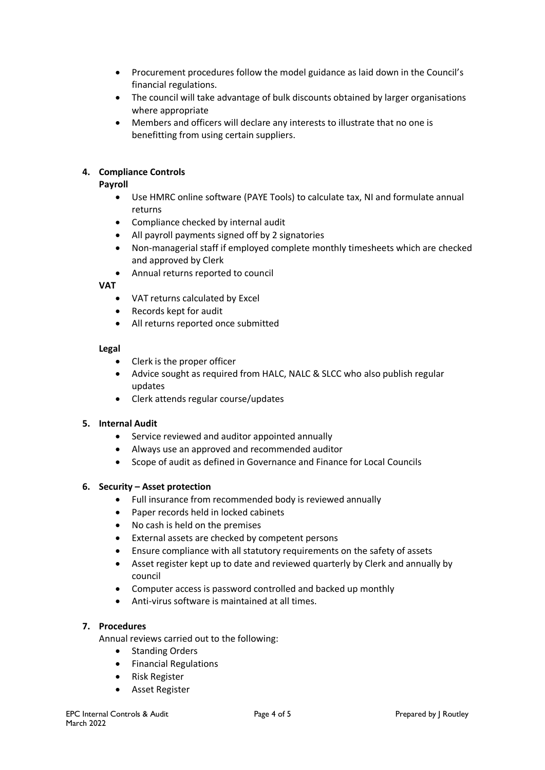- Procurement procedures follow the model guidance as laid down in the Council's financial regulations.
- The council will take advantage of bulk discounts obtained by larger organisations where appropriate
- Members and officers will declare any interests to illustrate that no one is benefitting from using certain suppliers.

#### **4. Compliance Controls**

#### **Payroll**

- Use HMRC online software (PAYE Tools) to calculate tax, NI and formulate annual returns
- Compliance checked by internal audit
- All payroll payments signed off by 2 signatories
- Non-managerial staff if employed complete monthly timesheets which are checked and approved by Clerk
- Annual returns reported to council

#### **VAT**

- VAT returns calculated by Excel
- Records kept for audit
- All returns reported once submitted

#### **Legal**

- Clerk is the proper officer
- Advice sought as required from HALC, NALC & SLCC who also publish regular updates
- Clerk attends regular course/updates

#### **5. Internal Audit**

- Service reviewed and auditor appointed annually
- Always use an approved and recommended auditor
- Scope of audit as defined in Governance and Finance for Local Councils

#### **6. Security – Asset protection**

- Full insurance from recommended body is reviewed annually
- Paper records held in locked cabinets
- No cash is held on the premises
- External assets are checked by competent persons
- Ensure compliance with all statutory requirements on the safety of assets
- Asset register kept up to date and reviewed quarterly by Clerk and annually by council
- Computer access is password controlled and backed up monthly
- Anti-virus software is maintained at all times.

#### **7. Procedures**

- Annual reviews carried out to the following:
	- Standing Orders
	- Financial Regulations
	- Risk Register
	- Asset Register